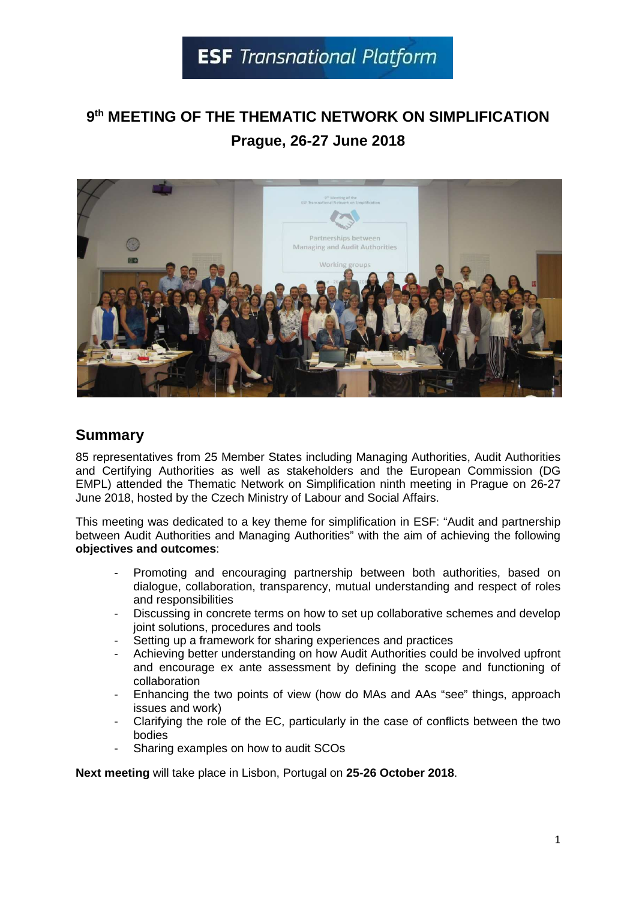# **ESF** Transnational Platform

## **9 th MEETING OF THE THEMATIC NETWORK ON SIMPLIFICATION Prague, 26-27 June 2018**



## **Summary**

85 representatives from 25 Member States including Managing Authorities, Audit Authorities and Certifying Authorities as well as stakeholders and the European Commission (DG EMPL) attended the Thematic Network on Simplification ninth meeting in Prague on 26-27 June 2018, hosted by the Czech Ministry of Labour and Social Affairs.

This meeting was dedicated to a key theme for simplification in ESF: "Audit and partnership between Audit Authorities and Managing Authorities" with the aim of achieving the following **objectives and outcomes**:

- Promoting and encouraging partnership between both authorities, based on dialogue, collaboration, transparency, mutual understanding and respect of roles and responsibilities
- Discussing in concrete terms on how to set up collaborative schemes and develop joint solutions, procedures and tools
- Setting up a framework for sharing experiences and practices
- Achieving better understanding on how Audit Authorities could be involved upfront and encourage ex ante assessment by defining the scope and functioning of collaboration
- Enhancing the two points of view (how do MAs and AAs "see" things, approach issues and work)
- Clarifying the role of the EC, particularly in the case of conflicts between the two bodies
- Sharing examples on how to audit SCOs

**Next meeting** will take place in Lisbon, Portugal on **25-26 October 2018**.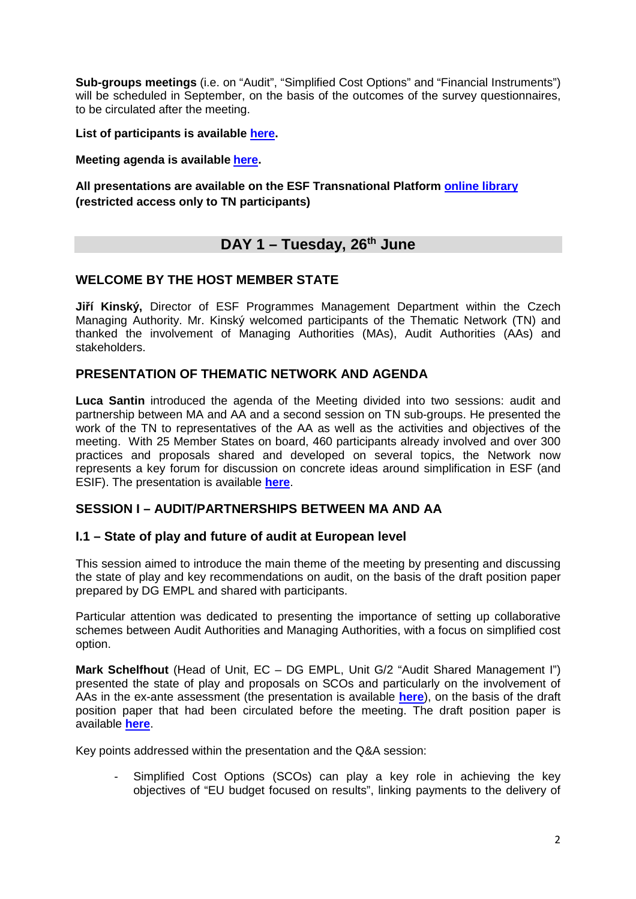**Sub-groups meetings** (i.e. on "Audit", "Simplified Cost Options" and "Financial Instruments") will be scheduled in September, on the basis of the outcomes of the survey questionnaires, to be circulated after the meeting.

**List of participants is available here.** 

**Meeting agenda is available here.** 

**All presentations are available on the ESF Transnational Platform online library (restricted access only to TN participants)** 

## **DAY 1 – Tuesday, 26th June**

## **WELCOME BY THE HOST MEMBER STATE**

**Jiří Kinský,** Director of ESF Programmes Management Department within the Czech Managing Authority. Mr. Kinský welcomed participants of the Thematic Network (TN) and thanked the involvement of Managing Authorities (MAs), Audit Authorities (AAs) and stakeholders.

## **PRESENTATION OF THEMATIC NETWORK AND AGENDA**

**Luca Santin** introduced the agenda of the Meeting divided into two sessions: audit and partnership between MA and AA and a second session on TN sub-groups. He presented the work of the TN to representatives of the AA as well as the activities and objectives of the meeting. With 25 Member States on board, 460 participants already involved and over 300 practices and proposals shared and developed on several topics, the Network now represents a key forum for discussion on concrete ideas around simplification in ESF (and ESIF). The presentation is available **here**.

## **SESSION I – AUDIT/PARTNERSHIPS BETWEEN MA AND AA**

## **I.1 – State of play and future of audit at European level**

This session aimed to introduce the main theme of the meeting by presenting and discussing the state of play and key recommendations on audit, on the basis of the draft position paper prepared by DG EMPL and shared with participants.

Particular attention was dedicated to presenting the importance of setting up collaborative schemes between Audit Authorities and Managing Authorities, with a focus on simplified cost option.

**Mark Schelfhout** (Head of Unit, EC – DG EMPL, Unit G/2 "Audit Shared Management I") presented the state of play and proposals on SCOs and particularly on the involvement of AAs in the ex-ante assessment (the presentation is available **here**), on the basis of the draft position paper that had been circulated before the meeting. The draft position paper is available **here**.

Key points addressed within the presentation and the Q&A session:

Simplified Cost Options (SCOs) can play a key role in achieving the key objectives of "EU budget focused on results", linking payments to the delivery of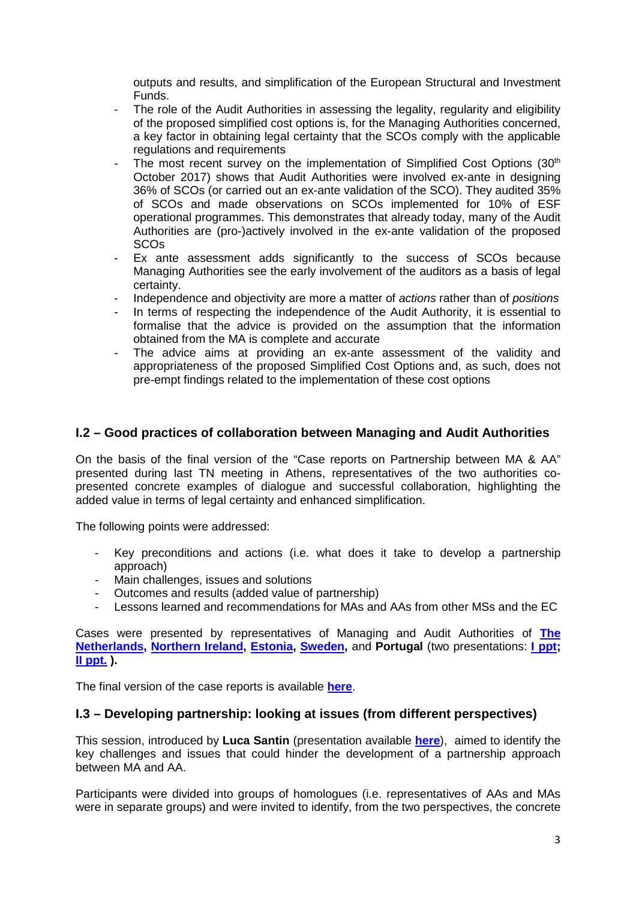outputs and results, and simplification of the European Structural and Investment Funds.

- The role of the Audit Authorities in assessing the legality, regularity and eligibility of the proposed simplified cost options is, for the Managing Authorities concerned, a key factor in obtaining legal certainty that the SCOs comply with the applicable regulations and requirements
- The most recent survey on the implementation of Simplified Cost Options (30<sup>th</sup>) October 2017) shows that Audit Authorities were involved ex-ante in designing 36% of SCOs (or carried out an ex-ante validation of the SCO). They audited 35% of SCOs and made observations on SCOs implemented for 10% of ESF operational programmes. This demonstrates that already today, many of the Audit Authorities are (pro-)actively involved in the ex-ante validation of the proposed **SCO<sub>s</sub>**
- Ex ante assessment adds significantly to the success of SCOs because Managing Authorities see the early involvement of the auditors as a basis of legal certainty.
- Independence and objectivity are more a matter of *actions* rather than of *positions*
- In terms of respecting the independence of the Audit Authority, it is essential to formalise that the advice is provided on the assumption that the information obtained from the MA is complete and accurate
- The advice aims at providing an ex-ante assessment of the validity and appropriateness of the proposed Simplified Cost Options and, as such, does not pre-empt findings related to the implementation of these cost options

#### **I.2 – Good practices of collaboration between Managing and Audit Authorities**

On the basis of the final version of the "Case reports on Partnership between MA & AA" presented during last TN meeting in Athens, representatives of the two authorities copresented concrete examples of dialogue and successful collaboration, highlighting the added value in terms of legal certainty and enhanced simplification.

The following points were addressed:

- Key preconditions and actions (i.e. what does it take to develop a partnership approach)
- Main challenges, issues and solutions
- Outcomes and results (added value of partnership)
- Lessons learned and recommendations for MAs and AAs from other MSs and the EC

Cases were presented by representatives of Managing and Audit Authorities of **The Netherlands, Northern Ireland, Estonia, Sweden,** and **Portugal** (two presentations: **I ppt; II ppt. ).** 

The final version of the case reports is available **here**.

#### **I.3 – Developing partnership: looking at issues (from different perspectives)**

This session, introduced by **Luca Santin** (presentation available **here**), aimed to identify the key challenges and issues that could hinder the development of a partnership approach between MA and AA.

Participants were divided into groups of homologues (i.e. representatives of AAs and MAs were in separate groups) and were invited to identify, from the two perspectives, the concrete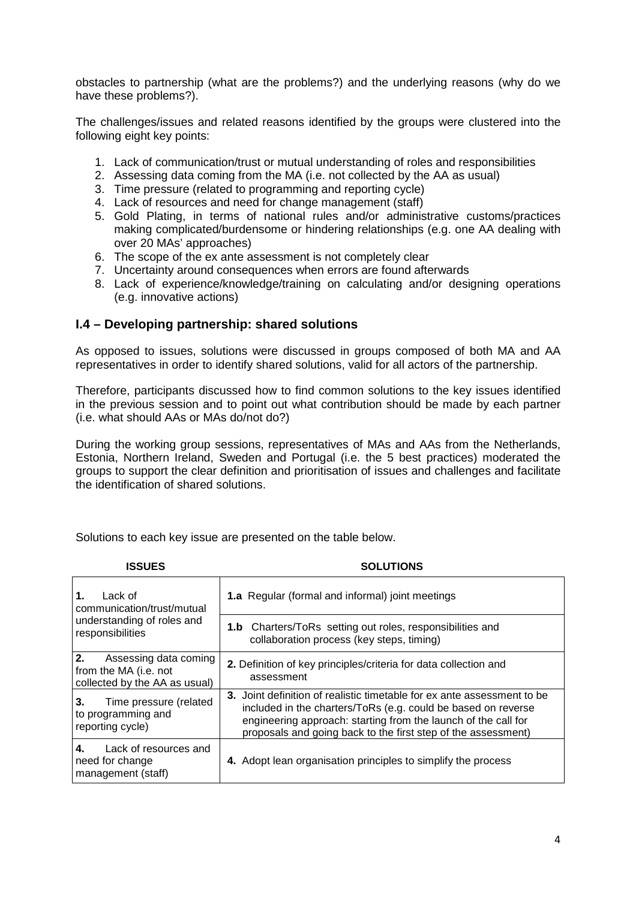obstacles to partnership (what are the problems?) and the underlying reasons (why do we have these problems?).

The challenges/issues and related reasons identified by the groups were clustered into the following eight key points:

- 1. Lack of communication/trust or mutual understanding of roles and responsibilities
- 2. Assessing data coming from the MA (i.e. not collected by the AA as usual)
- 3. Time pressure (related to programming and reporting cycle)
- 4. Lack of resources and need for change management (staff)
- 5. Gold Plating, in terms of national rules and/or administrative customs/practices making complicated/burdensome or hindering relationships (e.g. one AA dealing with over 20 MAs' approaches)
- 6. The scope of the ex ante assessment is not completely clear
- 7. Uncertainty around consequences when errors are found afterwards
- 8. Lack of experience/knowledge/training on calculating and/or designing operations (e.g. innovative actions)

## **I.4 – Developing partnership: shared solutions**

As opposed to issues, solutions were discussed in groups composed of both MA and AA representatives in order to identify shared solutions, valid for all actors of the partnership.

Therefore, participants discussed how to find common solutions to the key issues identified in the previous session and to point out what contribution should be made by each partner (i.e. what should AAs or MAs do/not do?)

During the working group sessions, representatives of MAs and AAs from the Netherlands, Estonia, Northern Ireland, Sweden and Portugal (i.e. the 5 best practices) moderated the groups to support the clear definition and prioritisation of issues and challenges and facilitate the identification of shared solutions.

| <b>ISSUES</b>                                                                                 | <b>SOLUTIONS</b>                                                                                                                                                                                                                                                                   |
|-----------------------------------------------------------------------------------------------|------------------------------------------------------------------------------------------------------------------------------------------------------------------------------------------------------------------------------------------------------------------------------------|
| 1.<br>Lack of<br>communication/trust/mutual<br>understanding of roles and<br>responsibilities | 1.a Regular (formal and informal) joint meetings                                                                                                                                                                                                                                   |
|                                                                                               | <b>1.b</b> Charters/ToRs setting out roles, responsibilities and<br>collaboration process (key steps, timing)                                                                                                                                                                      |
| 2.<br>Assessing data coming<br>from the MA (i.e. not<br>collected by the AA as usual)         | 2. Definition of key principles/criteria for data collection and<br>assessment                                                                                                                                                                                                     |
| 3.<br>Time pressure (related<br>to programming and<br>reporting cycle)                        | <b>3.</b> Joint definition of realistic timetable for ex ante assessment to be<br>included in the charters/ToRs (e.g. could be based on reverse<br>engineering approach: starting from the launch of the call for<br>proposals and going back to the first step of the assessment) |
| 4.<br>Lack of resources and<br>need for change<br>management (staff)                          | 4. Adopt lean organisation principles to simplify the process                                                                                                                                                                                                                      |

Solutions to each key issue are presented on the table below.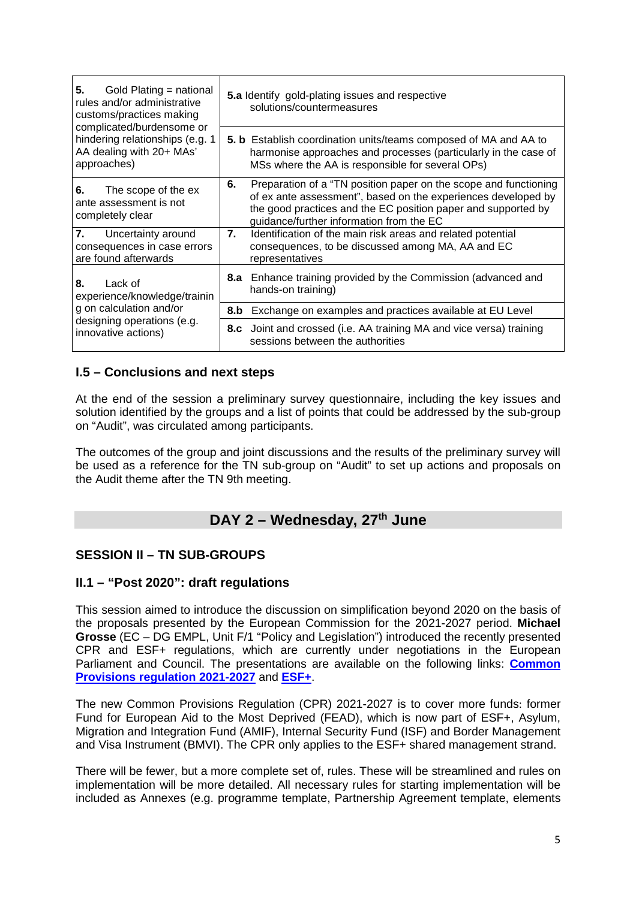| 5.<br>Gold Plating = national<br>rules and/or administrative<br>customs/practices making<br>complicated/burdensome or<br>hindering relationships (e.g. 1<br>AA dealing with 20+ MAs'<br>approaches) | <b>5.a</b> Identify gold-plating issues and respective<br>solutions/countermeasures |                                                                                                                                                                                                                                                |  |
|-----------------------------------------------------------------------------------------------------------------------------------------------------------------------------------------------------|-------------------------------------------------------------------------------------|------------------------------------------------------------------------------------------------------------------------------------------------------------------------------------------------------------------------------------------------|--|
|                                                                                                                                                                                                     |                                                                                     | <b>5. b</b> Establish coordination units/teams composed of MA and AA to<br>harmonise approaches and processes (particularly in the case of<br>MSs where the AA is responsible for several OPs)                                                 |  |
| 6.<br>The scope of the ex<br>ante assessment is not<br>completely clear                                                                                                                             | 6.                                                                                  | Preparation of a "TN position paper on the scope and functioning<br>of ex ante assessment", based on the experiences developed by<br>the good practices and the EC position paper and supported by<br>guidance/further information from the EC |  |
| 7.<br>Uncertainty around<br>consequences in case errors<br>are found afterwards                                                                                                                     | 7.                                                                                  | Identification of the main risk areas and related potential<br>consequences, to be discussed among MA, AA and EC<br>representatives                                                                                                            |  |
| 8.<br>Lack of<br>experience/knowledge/trainin<br>g on calculation and/or<br>designing operations (e.g.<br>innovative actions)                                                                       |                                                                                     | <b>8.a</b> Enhance training provided by the Commission (advanced and<br>hands-on training)                                                                                                                                                     |  |
|                                                                                                                                                                                                     | 8.b                                                                                 | Exchange on examples and practices available at EU Level                                                                                                                                                                                       |  |
|                                                                                                                                                                                                     |                                                                                     | 8.c Joint and crossed (i.e. AA training MA and vice versa) training<br>sessions between the authorities                                                                                                                                        |  |

## **I.5 – Conclusions and next steps**

At the end of the session a preliminary survey questionnaire, including the key issues and solution identified by the groups and a list of points that could be addressed by the sub-group on "Audit", was circulated among participants.

The outcomes of the group and joint discussions and the results of the preliminary survey will be used as a reference for the TN sub-group on "Audit" to set up actions and proposals on the Audit theme after the TN 9th meeting.

## **DAY 2 – Wednesday, 27th June**

## **SESSION II – TN SUB-GROUPS**

## **II.1 – "Post 2020": draft regulations**

This session aimed to introduce the discussion on simplification beyond 2020 on the basis of the proposals presented by the European Commission for the 2021-2027 period. **Michael Grosse** (EC – DG EMPL, Unit F/1 "Policy and Legislation") introduced the recently presented CPR and ESF+ regulations, which are currently under negotiations in the European Parliament and Council. The presentations are available on the following links: **Common Provisions regulation 2021-2027** and **ESF+**.

The new Common Provisions Regulation (CPR) 2021-2027 is to cover more funds: former Fund for European Aid to the Most Deprived (FEAD), which is now part of ESF+, Asylum, Migration and Integration Fund (AMIF), Internal Security Fund (ISF) and Border Management and Visa Instrument (BMVI). The CPR only applies to the ESF+ shared management strand.

There will be fewer, but a more complete set of, rules. These will be streamlined and rules on implementation will be more detailed. All necessary rules for starting implementation will be included as Annexes (e.g. programme template, Partnership Agreement template, elements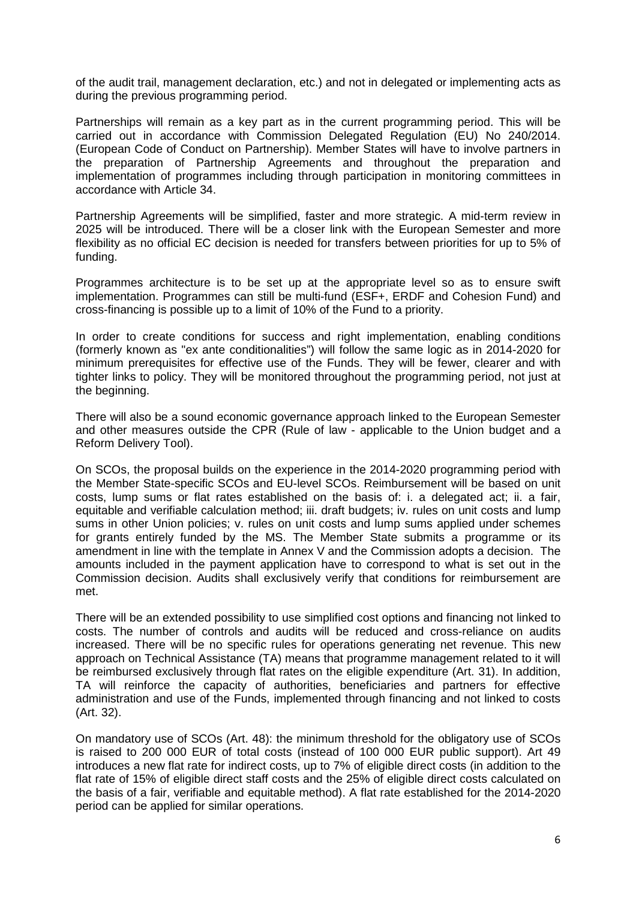of the audit trail, management declaration, etc.) and not in delegated or implementing acts as during the previous programming period.

Partnerships will remain as a key part as in the current programming period. This will be carried out in accordance with Commission Delegated Regulation (EU) No 240/2014. (European Code of Conduct on Partnership). Member States will have to involve partners in the preparation of Partnership Agreements and throughout the preparation and implementation of programmes including through participation in monitoring committees in accordance with Article 34.

Partnership Agreements will be simplified, faster and more strategic. A mid-term review in 2025 will be introduced. There will be a closer link with the European Semester and more flexibility as no official EC decision is needed for transfers between priorities for up to 5% of funding.

Programmes architecture is to be set up at the appropriate level so as to ensure swift implementation. Programmes can still be multi-fund (ESF+, ERDF and Cohesion Fund) and cross-financing is possible up to a limit of 10% of the Fund to a priority.

In order to create conditions for success and right implementation, enabling conditions (formerly known as "ex ante conditionalities") will follow the same logic as in 2014-2020 for minimum prerequisites for effective use of the Funds. They will be fewer, clearer and with tighter links to policy. They will be monitored throughout the programming period, not just at the beginning.

There will also be a sound economic governance approach linked to the European Semester and other measures outside the CPR (Rule of law - applicable to the Union budget and a Reform Delivery Tool).

On SCOs, the proposal builds on the experience in the 2014-2020 programming period with the Member State-specific SCOs and EU-level SCOs. Reimbursement will be based on unit costs, lump sums or flat rates established on the basis of: i. a delegated act; ii. a fair, equitable and verifiable calculation method; iii. draft budgets; iv. rules on unit costs and lump sums in other Union policies; v. rules on unit costs and lump sums applied under schemes for grants entirely funded by the MS. The Member State submits a programme or its amendment in line with the template in Annex V and the Commission adopts a decision. The amounts included in the payment application have to correspond to what is set out in the Commission decision. Audits shall exclusively verify that conditions for reimbursement are met.

There will be an extended possibility to use simplified cost options and financing not linked to costs. The number of controls and audits will be reduced and cross-reliance on audits increased. There will be no specific rules for operations generating net revenue. This new approach on Technical Assistance (TA) means that programme management related to it will be reimbursed exclusively through flat rates on the eligible expenditure (Art. 31). In addition, TA will reinforce the capacity of authorities, beneficiaries and partners for effective administration and use of the Funds, implemented through financing and not linked to costs (Art. 32).

On mandatory use of SCOs (Art. 48): the minimum threshold for the obligatory use of SCOs is raised to 200 000 EUR of total costs (instead of 100 000 EUR public support). Art 49 introduces a new flat rate for indirect costs, up to 7% of eligible direct costs (in addition to the flat rate of 15% of eligible direct staff costs and the 25% of eligible direct costs calculated on the basis of a fair, verifiable and equitable method). A flat rate established for the 2014-2020 period can be applied for similar operations.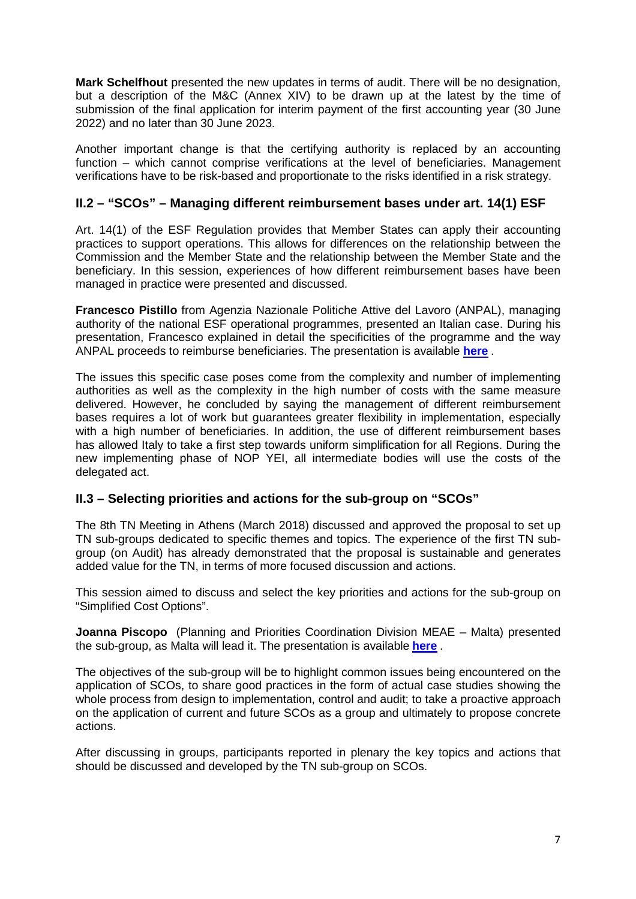**Mark Schelfhout** presented the new updates in terms of audit. There will be no designation, but a description of the M&C (Annex XIV) to be drawn up at the latest by the time of submission of the final application for interim payment of the first accounting year (30 June 2022) and no later than 30 June 2023.

Another important change is that the certifying authority is replaced by an accounting function – which cannot comprise verifications at the level of beneficiaries. Management verifications have to be risk-based and proportionate to the risks identified in a risk strategy.

## **II.2 – "SCOs" – Managing different reimbursement bases under art. 14(1) ESF**

Art. 14(1) of the ESF Regulation provides that Member States can apply their accounting practices to support operations. This allows for differences on the relationship between the Commission and the Member State and the relationship between the Member State and the beneficiary. In this session, experiences of how different reimbursement bases have been managed in practice were presented and discussed.

**Francesco Pistillo** from Agenzia Nazionale Politiche Attive del Lavoro (ANPAL), managing authority of the national ESF operational programmes, presented an Italian case. During his presentation, Francesco explained in detail the specificities of the programme and the way ANPAL proceeds to reimburse beneficiaries. The presentation is available **here** .

The issues this specific case poses come from the complexity and number of implementing authorities as well as the complexity in the high number of costs with the same measure delivered. However, he concluded by saying the management of different reimbursement bases requires a lot of work but guarantees greater flexibility in implementation, especially with a high number of beneficiaries. In addition, the use of different reimbursement bases has allowed Italy to take a first step towards uniform simplification for all Regions. During the new implementing phase of NOP YEI, all intermediate bodies will use the costs of the delegated act.

## **II.3 – Selecting priorities and actions for the sub-group on "SCOs"**

The 8th TN Meeting in Athens (March 2018) discussed and approved the proposal to set up TN sub-groups dedicated to specific themes and topics. The experience of the first TN subgroup (on Audit) has already demonstrated that the proposal is sustainable and generates added value for the TN, in terms of more focused discussion and actions.

This session aimed to discuss and select the key priorities and actions for the sub-group on "Simplified Cost Options".

**Joanna Piscopo** (Planning and Priorities Coordination Division MEAE – Malta) presented the sub-group, as Malta will lead it. The presentation is available **here** .

The objectives of the sub-group will be to highlight common issues being encountered on the application of SCOs, to share good practices in the form of actual case studies showing the whole process from design to implementation, control and audit; to take a proactive approach on the application of current and future SCOs as a group and ultimately to propose concrete actions.

After discussing in groups, participants reported in plenary the key topics and actions that should be discussed and developed by the TN sub-group on SCOs.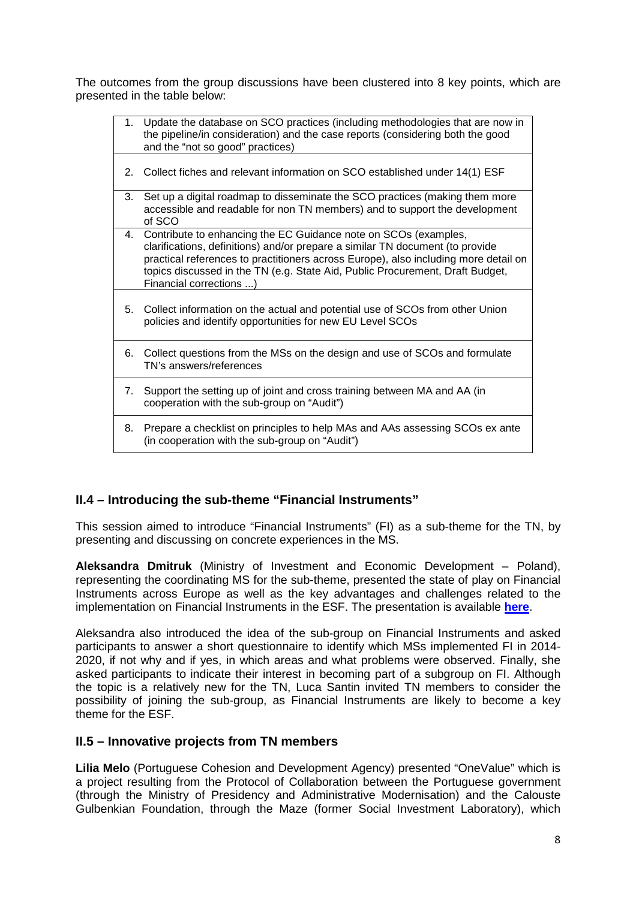The outcomes from the group discussions have been clustered into 8 key points, which are presented in the table below:

| $1_{-}$ | Update the database on SCO practices (including methodologies that are now in<br>the pipeline/in consideration) and the case reports (considering both the good<br>and the "not so good" practices)                                                                                                                                                 |
|---------|-----------------------------------------------------------------------------------------------------------------------------------------------------------------------------------------------------------------------------------------------------------------------------------------------------------------------------------------------------|
| $2^{+}$ | Collect fiches and relevant information on SCO established under 14(1) ESF                                                                                                                                                                                                                                                                          |
| 3.      | Set up a digital roadmap to disseminate the SCO practices (making them more<br>accessible and readable for non TN members) and to support the development<br>of SCO                                                                                                                                                                                 |
| 4.      | Contribute to enhancing the EC Guidance note on SCOs (examples,<br>clarifications, definitions) and/or prepare a similar TN document (to provide<br>practical references to practitioners across Europe), also including more detail on<br>topics discussed in the TN (e.g. State Aid, Public Procurement, Draft Budget,<br>Financial corrections ) |
| 5.      | Collect information on the actual and potential use of SCOs from other Union<br>policies and identify opportunities for new EU Level SCOs                                                                                                                                                                                                           |
| 6.      | Collect questions from the MSs on the design and use of SCOs and formulate<br>TN's answers/references                                                                                                                                                                                                                                               |
| 7.      | Support the setting up of joint and cross training between MA and AA (in<br>cooperation with the sub-group on "Audit")                                                                                                                                                                                                                              |
| 8.      | Prepare a checklist on principles to help MAs and AAs assessing SCOs ex ante<br>(in cooperation with the sub-group on "Audit")                                                                                                                                                                                                                      |

## **II.4 – Introducing the sub-theme "Financial Instruments"**

This session aimed to introduce "Financial Instruments" (FI) as a sub-theme for the TN, by presenting and discussing on concrete experiences in the MS.

**Aleksandra Dmitruk** (Ministry of Investment and Economic Development – Poland), representing the coordinating MS for the sub-theme, presented the state of play on Financial Instruments across Europe as well as the key advantages and challenges related to the implementation on Financial Instruments in the ESF. The presentation is available **here**.

Aleksandra also introduced the idea of the sub-group on Financial Instruments and asked participants to answer a short questionnaire to identify which MSs implemented FI in 2014- 2020, if not why and if yes, in which areas and what problems were observed. Finally, she asked participants to indicate their interest in becoming part of a subgroup on FI. Although the topic is a relatively new for the TN, Luca Santin invited TN members to consider the possibility of joining the sub-group, as Financial Instruments are likely to become a key theme for the ESF.

## **II.5 – Innovative projects from TN members**

**Lilia Melo** (Portuguese Cohesion and Development Agency) presented "OneValue" which is a project resulting from the Protocol of Collaboration between the Portuguese government (through the Ministry of Presidency and Administrative Modernisation) and the Calouste Gulbenkian Foundation, through the Maze (former Social Investment Laboratory), which